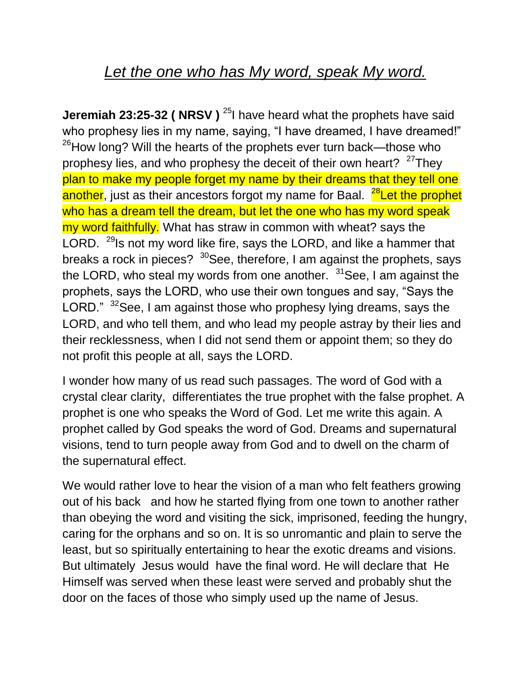## *Let the one who has My word, speak My word.*

**Jeremiah 23:25-32 ( NRSV )** <sup>25</sup>I have heard what the prophets have said who prophesy lies in my name, saying, "I have dreamed, I have dreamed!"  $26$ How long? Will the hearts of the prophets ever turn back—those who prophesy lies, and who prophesy the deceit of their own heart? <sup>27</sup>They plan to make my people forget my name by their dreams that they tell one another, just as their ancestors forgot my name for Baal. <sup>28</sup>Let the prophet who has a dream tell the dream, but let the one who has my word speak my word faithfully. What has straw in common with wheat? says the LORD. <sup>29</sup>Is not my word like fire, says the LORD, and like a hammer that breaks a rock in pieces?  $30$ See, therefore, I am against the prophets, says the LORD, who steal my words from one another.  $31$  See, I am against the prophets, says the LORD, who use their own tongues and say, "Says the LORD." <sup>32</sup>See, I am against those who prophesy lying dreams, says the LORD, and who tell them, and who lead my people astray by their lies and their recklessness, when I did not send them or appoint them; so they do not profit this people at all, says the LORD.

I wonder how many of us read such passages. The word of God with a crystal clear clarity, differentiates the true prophet with the false prophet. A prophet is one who speaks the Word of God. Let me write this again. A prophet called by God speaks the word of God. Dreams and supernatural visions, tend to turn people away from God and to dwell on the charm of the supernatural effect.

We would rather love to hear the vision of a man who felt feathers growing out of his back and how he started flying from one town to another rather than obeying the word and visiting the sick, imprisoned, feeding the hungry, caring for the orphans and so on. It is so unromantic and plain to serve the least, but so spiritually entertaining to hear the exotic dreams and visions. But ultimately Jesus would have the final word. He will declare that He Himself was served when these least were served and probably shut the door on the faces of those who simply used up the name of Jesus.